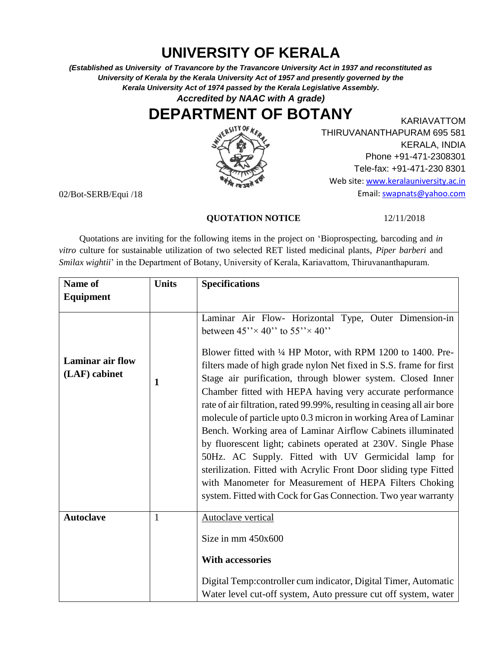## **UNIVERSITY OF KERALA**

*(Established as University of Travancore by the Travancore University Act in 1937 and reconstituted as University of Kerala by the Kerala University Act of 1957 and presently governed by the Kerala University Act of 1974 passed by the Kerala Legislative Assembly.*

*Accredited by NAAC with A grade)*

## **DEPARTMENT OF BOTANY**



KARIAVATTOM THIRUVANANTHAPURAM 695 581 KERALA, INDIA Phone +91-471-2308301 Tele-fax: +91-471-230 8301 Web site[: www.keralauniversity.ac.in](http://www.keralauniversity.ac.in/) Email: [swapnats@yahoo.com](mailto:swapnats@yahoo.com)

02/Bot-SERB/Equi /18

## **QUOTATION NOTICE** 12/11/2018

 Quotations are inviting for the following items in the project on 'Bioprospecting, barcoding and *in vitro* culture for sustainable utilization of two selected RET listed medicinal plants, *Piper barberi* and *Smilax wightii*' in the Department of Botany, University of Kerala, Kariavattom, Thiruvananthapuram.

| Name of                                  | <b>Units</b> | <b>Specifications</b>                                                                                                                                                                                                                                                                                                                                                                                                                                                                                                                                                                                                                                                                                                                                                                                                                                                                                             |
|------------------------------------------|--------------|-------------------------------------------------------------------------------------------------------------------------------------------------------------------------------------------------------------------------------------------------------------------------------------------------------------------------------------------------------------------------------------------------------------------------------------------------------------------------------------------------------------------------------------------------------------------------------------------------------------------------------------------------------------------------------------------------------------------------------------------------------------------------------------------------------------------------------------------------------------------------------------------------------------------|
| Equipment                                |              |                                                                                                                                                                                                                                                                                                                                                                                                                                                                                                                                                                                                                                                                                                                                                                                                                                                                                                                   |
| <b>Laminar air flow</b><br>(LAF) cabinet | 1            | Laminar Air Flow- Horizontal Type, Outer Dimension-in<br>between $45'' \times 40''$ to $55'' \times 40''$<br>Blower fitted with 1/4 HP Motor, with RPM 1200 to 1400. Pre-<br>filters made of high grade nylon Net fixed in S.S. frame for first<br>Stage air purification, through blower system. Closed Inner<br>Chamber fitted with HEPA having very accurate performance<br>rate of air filtration, rated 99.99%, resulting in ceasing all air bore<br>molecule of particle upto 0.3 micron in working Area of Laminar<br>Bench. Working area of Laminar Airflow Cabinets illuminated<br>by fluorescent light; cabinets operated at 230V. Single Phase<br>50Hz. AC Supply. Fitted with UV Germicidal lamp for<br>sterilization. Fitted with Acrylic Front Door sliding type Fitted<br>with Manometer for Measurement of HEPA Filters Choking<br>system. Fitted with Cock for Gas Connection. Two year warranty |
| <b>Autoclave</b>                         | $\mathbf{1}$ | Autoclave vertical<br>Size in mm 450x600<br><b>With accessories</b>                                                                                                                                                                                                                                                                                                                                                                                                                                                                                                                                                                                                                                                                                                                                                                                                                                               |
|                                          |              | Digital Temp: controller cum indicator, Digital Timer, Automatic<br>Water level cut-off system, Auto pressure cut off system, water                                                                                                                                                                                                                                                                                                                                                                                                                                                                                                                                                                                                                                                                                                                                                                               |